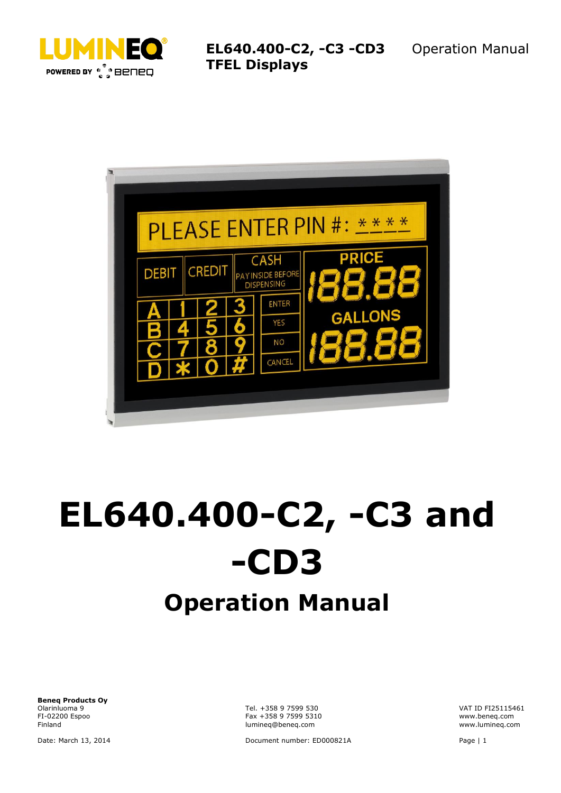

**EL640.400-C2, -C3 -CD3 TFEL Displays**



# **EL640.400-C2, -C3 and -CD3 Operation Manual**

**Beneq Products Oy** Olarinluoma 9 Tel. +358 9 7599 530 VAT ID FI25115461

FI-02200 Espoo Fax +358 9 7599 5310 www.beneq.com lumineq@beneq.com

Date: March 13, 2014 Document number: ED000821A Page | 1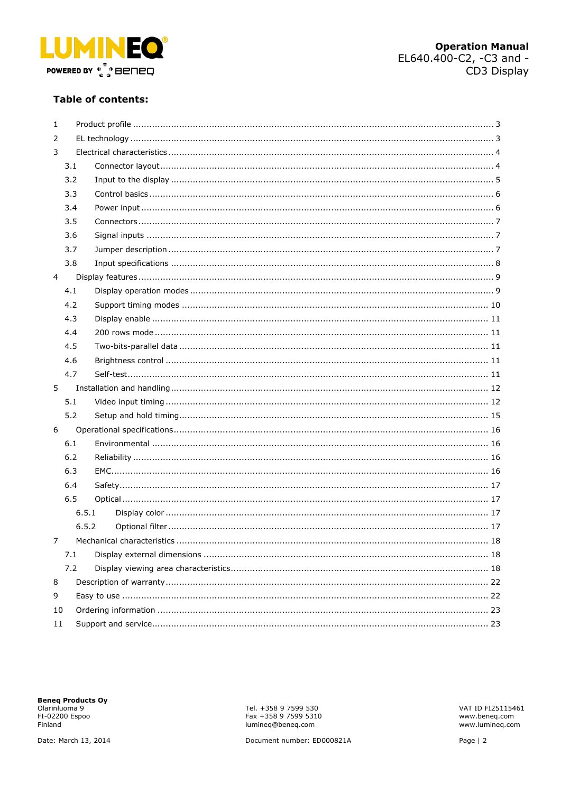

#### **Table of contents:**

| 1              |     |       |  |  |
|----------------|-----|-------|--|--|
| 2              |     |       |  |  |
| 3              |     |       |  |  |
|                | 3.1 |       |  |  |
|                | 3.2 |       |  |  |
|                | 3.3 |       |  |  |
|                | 3.4 |       |  |  |
|                | 3.5 |       |  |  |
|                | 3.6 |       |  |  |
|                | 3.7 |       |  |  |
|                | 3.8 |       |  |  |
| $\overline{4}$ |     |       |  |  |
|                | 4.1 |       |  |  |
|                | 4.2 |       |  |  |
|                | 4.3 |       |  |  |
|                | 4.4 |       |  |  |
|                | 4.5 |       |  |  |
|                | 4.6 |       |  |  |
|                | 4.7 |       |  |  |
| 5              |     |       |  |  |
|                | 5.1 |       |  |  |
|                | 5.2 |       |  |  |
| 6              |     |       |  |  |
|                | 6.1 |       |  |  |
|                | 6.2 |       |  |  |
|                | 6.3 |       |  |  |
|                | 6.4 |       |  |  |
|                | 6.5 |       |  |  |
|                |     | 6.5.1 |  |  |
|                |     | 6.5.2 |  |  |
| 7              |     |       |  |  |
|                | 7.1 |       |  |  |
|                | 7.2 |       |  |  |
| 8              |     |       |  |  |
| 9              |     |       |  |  |
| 10             |     |       |  |  |
| 11             |     |       |  |  |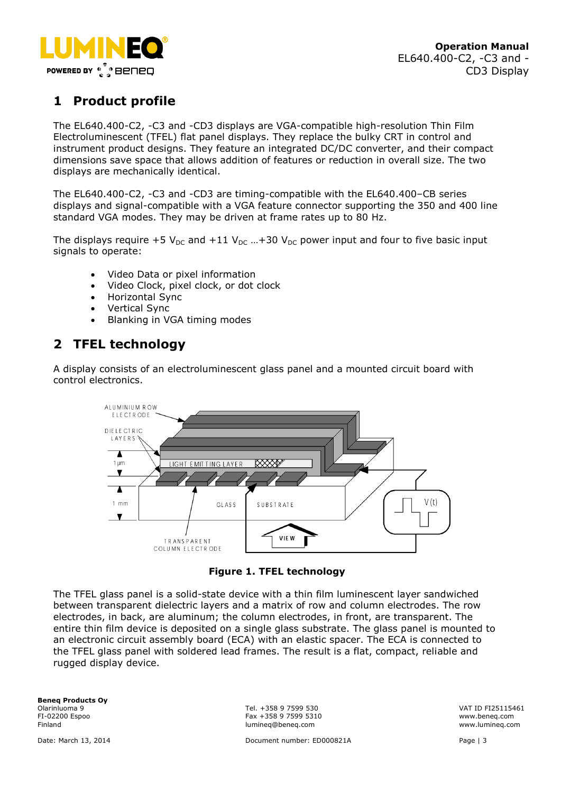

# <span id="page-2-0"></span>**1 Product profile**

The EL640.400-C2, -C3 and -CD3 displays are VGA-compatible high-resolution Thin Film Electroluminescent (TFEL) flat panel displays. They replace the bulky CRT in control and instrument product designs. They feature an integrated DC/DC converter, and their compact dimensions save space that allows addition of features or reduction in overall size. The two displays are mechanically identical.

The EL640.400-C2, -C3 and -CD3 are timing-compatible with the EL640.400–CB series displays and signal-compatible with a VGA feature connector supporting the 350 and 400 line standard VGA modes. They may be driven at frame rates up to 80 Hz.

The displays require +5  $V_{DC}$  and +11  $V_{DC}$  ...+30  $V_{DC}$  power input and four to five basic input signals to operate:

- Video Data or pixel information
- Video Clock, pixel clock, or dot clock
- Horizontal Sync
- Vertical Sync
- Blanking in VGA timing modes

# <span id="page-2-1"></span>**2 TFEL technology**

A display consists of an electroluminescent glass panel and a mounted circuit board with control electronics.



**Figure 1. TFEL technology**

The TFEL glass panel is a solid-state device with a thin film luminescent layer sandwiched between transparent dielectric layers and a matrix of row and column electrodes. The row electrodes, in back, are aluminum; the column electrodes, in front, are transparent. The entire thin film device is deposited on a single glass substrate. The glass panel is mounted to an electronic circuit assembly board (ECA) with an elastic spacer. The ECA is connected to the TFEL glass panel with soldered lead frames. The result is a flat, compact, reliable and rugged display device.

**Beneq Products Oy**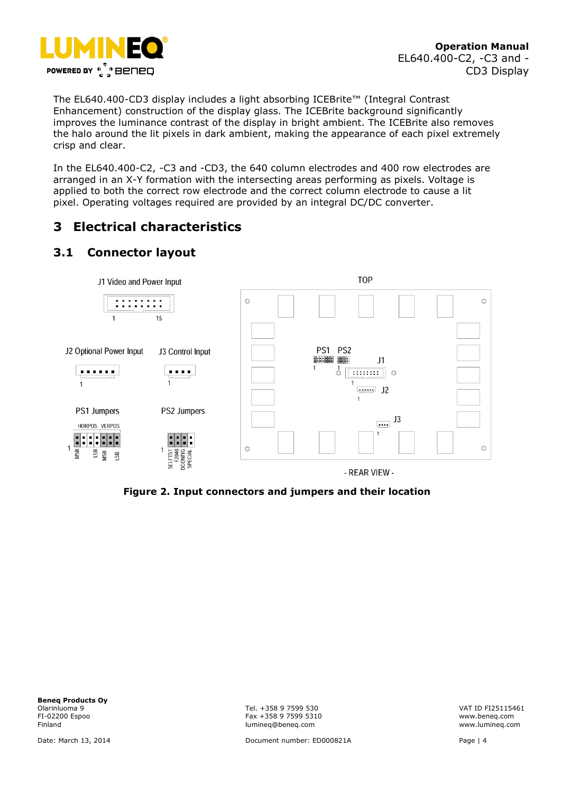

The EL640.400-CD3 display includes a light absorbing ICEBrite™ (Integral Contrast Enhancement) construction of the display glass. The ICEBrite background significantly improves the luminance contrast of the display in bright ambient. The ICEBrite also removes the halo around the lit pixels in dark ambient, making the appearance of each pixel extremely crisp and clear.

In the EL640.400-C2, -C3 and -CD3, the 640 column electrodes and 400 row electrodes are arranged in an X-Y formation with the intersecting areas performing as pixels. Voltage is applied to both the correct row electrode and the correct column electrode to cause a lit pixel. Operating voltages required are provided by an integral DC/DC converter.

# <span id="page-3-0"></span>**3 Electrical characteristics**

# <span id="page-3-1"></span>**3.1 Connector layout**



**Figure 2. Input connectors and jumpers and their location**

**Beneq Products Oy** Olarinluoma 9 Tel. +358 9 7599 530 VAT ID FI25115461

FI-02200 Espoo Fax +358 9 7599 5310 www.beneq.com lumineq@beneq.com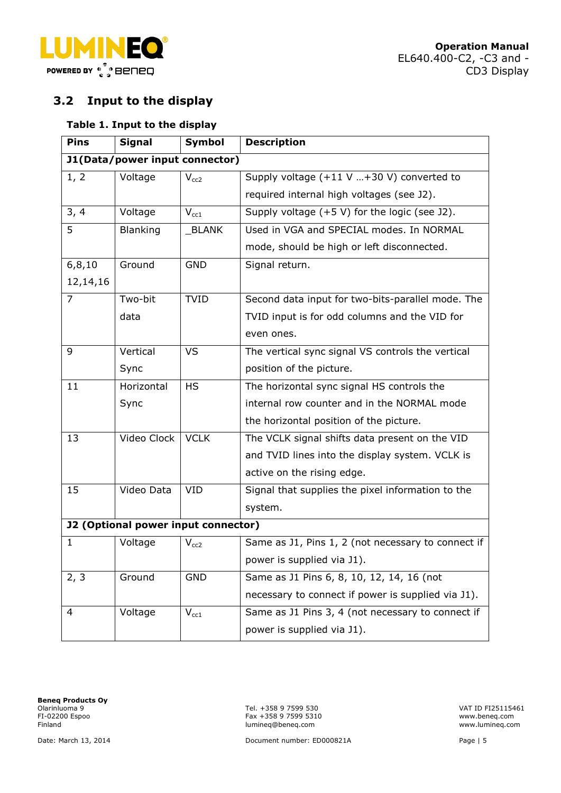

# <span id="page-4-0"></span>**3.2 Input to the display**

#### **Table 1. Input to the display**

| <b>Pins</b>  | <b>Signal</b>                              | <b>Symbol</b>             | <b>Description</b>                                  |
|--------------|--------------------------------------------|---------------------------|-----------------------------------------------------|
|              | J1(Data/power input connector)             |                           |                                                     |
| 1, 2         | Voltage                                    | $V_{cc2}$                 | Supply voltage $(+11 \text{ V}$ +30 V) converted to |
|              |                                            |                           | required internal high voltages (see J2).           |
| 3, 4         | Voltage                                    | $V_{cc1}$                 | Supply voltage (+5 V) for the logic (see J2).       |
| 5            | Blanking                                   | <b>BLANK</b>              | Used in VGA and SPECIAL modes. In NORMAL            |
|              |                                            |                           | mode, should be high or left disconnected.          |
| 6, 8, 10     | Ground                                     | <b>GND</b>                | Signal return.                                      |
| 12,14,16     |                                            |                           |                                                     |
| 7            | Two-bit                                    | <b>TVID</b>               | Second data input for two-bits-parallel mode. The   |
|              | data                                       |                           | TVID input is for odd columns and the VID for       |
|              |                                            |                           | even ones.                                          |
| 9            | Vertical                                   | <b>VS</b>                 | The vertical sync signal VS controls the vertical   |
|              | Sync                                       |                           | position of the picture.                            |
| 11           | Horizontal                                 | <b>HS</b>                 | The horizontal sync signal HS controls the          |
|              | Sync                                       |                           | internal row counter and in the NORMAL mode         |
|              |                                            |                           | the horizontal position of the picture.             |
| 13           | Video Clock                                | <b>VCLK</b>               | The VCLK signal shifts data present on the VID      |
|              |                                            |                           | and TVID lines into the display system. VCLK is     |
|              |                                            |                           | active on the rising edge.                          |
| 15           | Video Data                                 | <b>VID</b>                | Signal that supplies the pixel information to the   |
|              |                                            |                           | system.                                             |
|              | <b>J2 (Optional power input connector)</b> |                           |                                                     |
| $\mathbf{1}$ | Voltage                                    | $\rm V_{cc2}$             | Same as J1, Pins 1, 2 (not necessary to connect if  |
|              |                                            |                           | power is supplied via J1).                          |
| 2, 3         | Ground                                     | <b>GND</b>                | Same as J1 Pins 6, 8, 10, 12, 14, 16 (not           |
|              |                                            |                           | necessary to connect if power is supplied via J1).  |
| 4            | Voltage                                    | $\mathsf{V}_{\text{cc1}}$ | Same as J1 Pins 3, 4 (not necessary to connect if   |
|              |                                            |                           | power is supplied via J1).                          |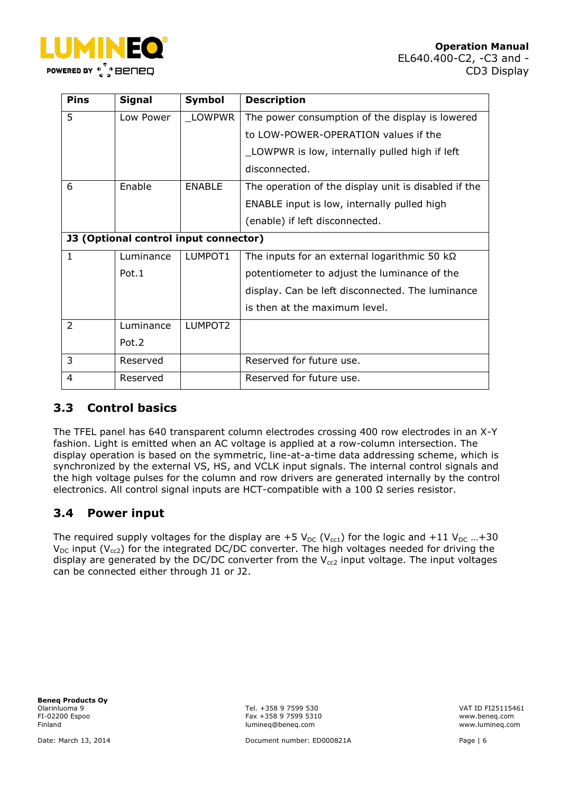

| <b>Pins</b>  | <b>Signal</b>                                | Symbol        | <b>Description</b>                                   |
|--------------|----------------------------------------------|---------------|------------------------------------------------------|
| 5            | Low Power                                    | LOWPWR        | The power consumption of the display is lowered      |
|              |                                              |               | to LOW-POWER-OPERATION values if the                 |
|              |                                              |               | LOWPWR is low, internally pulled high if left        |
|              |                                              |               | disconnected.                                        |
| 6            | Enable                                       | <b>ENABLE</b> | The operation of the display unit is disabled if the |
|              |                                              |               | ENABLE input is low, internally pulled high          |
|              |                                              |               | (enable) if left disconnected.                       |
|              | <b>J3 (Optional control input connector)</b> |               |                                                      |
| $\mathbf{1}$ | Luminance                                    | LUMPOT1       | The inputs for an external logarithmic 50 $k\Omega$  |
|              | Pot.1                                        |               | potentiometer to adjust the luminance of the         |
|              |                                              |               | display. Can be left disconnected. The luminance     |
|              |                                              |               | is then at the maximum level.                        |
| 2            | Luminance                                    | LUMPOT2       |                                                      |
|              | Pot.2                                        |               |                                                      |
| 3            | Reserved                                     |               | Reserved for future use.                             |
| 4            | Reserved                                     |               | Reserved for future use.                             |

## <span id="page-5-0"></span>**3.3 Control basics**

The TFEL panel has 640 transparent column electrodes crossing 400 row electrodes in an X-Y fashion. Light is emitted when an AC voltage is applied at a row-column intersection. The display operation is based on the symmetric, line-at-a-time data addressing scheme, which is synchronized by the external VS, HS, and VCLK input signals. The internal control signals and the high voltage pulses for the column and row drivers are generated internally by the control electronics. All control signal inputs are HCT-compatible with a 100 Ω series resistor.

# <span id="page-5-1"></span>**3.4 Power input**

The required supply voltages for the display are +5  $V_{DC}$  (V<sub>cc1</sub>) for the logic and +11 V<sub>DC</sub> ...+30  $V_{DC}$  input ( $V_{cc2}$ ) for the integrated DC/DC converter. The high voltages needed for driving the display are generated by the DC/DC converter from the  $V_{cc2}$  input voltage. The input voltages can be connected either through J1 or J2.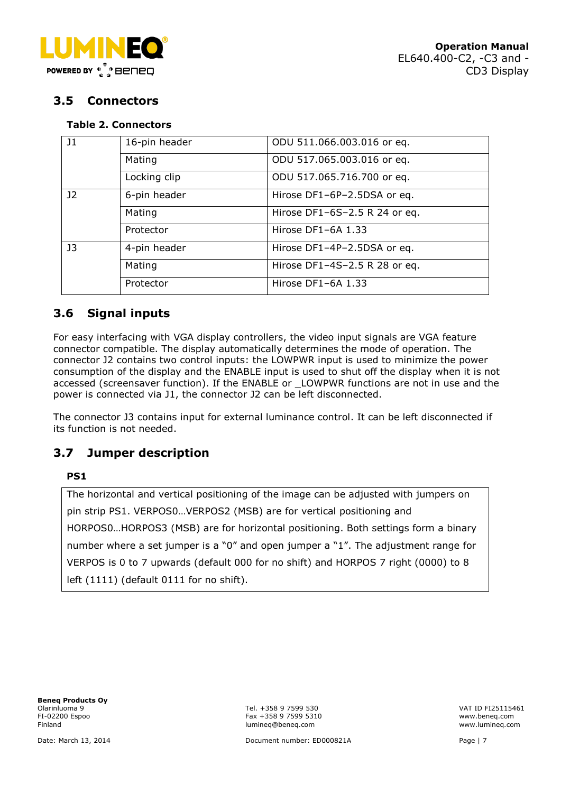

## <span id="page-6-0"></span>**3.5 Connectors**

#### **Table 2. Connectors**

| J1             | 16-pin header | ODU 511.066.003.016 or eq.    |  |  |
|----------------|---------------|-------------------------------|--|--|
|                | Mating        | ODU 517.065.003.016 or eq.    |  |  |
|                | Locking clip  | ODU 517.065.716.700 or eq.    |  |  |
| J <sub>2</sub> | 6-pin header  | Hirose DF1-6P-2.5DSA or eq.   |  |  |
|                | Mating        | Hirose DF1-6S-2.5 R 24 or eq. |  |  |
|                | Protector     | Hirose DF1-6A 1.33            |  |  |
| J3             | 4-pin header  | Hirose DF1-4P-2.5DSA or eq.   |  |  |
|                | Mating        | Hirose DF1-4S-2.5 R 28 or eq. |  |  |
|                | Protector     | Hirose DF1-6A 1.33            |  |  |

## <span id="page-6-1"></span>**3.6 Signal inputs**

For easy interfacing with VGA display controllers, the video input signals are VGA feature connector compatible. The display automatically determines the mode of operation. The connector J2 contains two control inputs: the LOWPWR input is used to minimize the power consumption of the display and the ENABLE input is used to shut off the display when it is not accessed (screensaver function). If the ENABLE or \_LOWPWR functions are not in use and the power is connected via J1, the connector J2 can be left disconnected.

The connector J3 contains input for external luminance control. It can be left disconnected if its function is not needed.

## <span id="page-6-2"></span>**3.7 Jumper description**

#### **PS1**

The horizontal and vertical positioning of the image can be adjusted with jumpers on pin strip PS1. VERPOS0…VERPOS2 (MSB) are for vertical positioning and HORPOS0…HORPOS3 (MSB) are for horizontal positioning. Both settings form a binary number where a set jumper is a "0" and open jumper a "1". The adjustment range for VERPOS is 0 to 7 upwards (default 000 for no shift) and HORPOS 7 right (0000) to 8 left (1111) (default 0111 for no shift).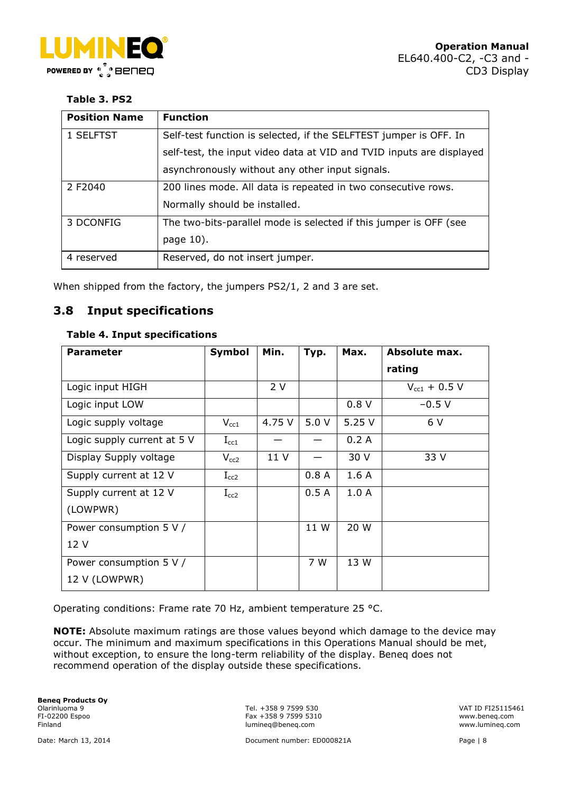

#### **Table 3. PS2**

| <b>Position Name</b> | <b>Function</b>                                                      |
|----------------------|----------------------------------------------------------------------|
| 1 SELFTST            | Self-test function is selected, if the SELFTEST jumper is OFF. In    |
|                      | self-test, the input video data at VID and TVID inputs are displayed |
|                      | asynchronously without any other input signals.                      |
| 2 F2040              | 200 lines mode. All data is repeated in two consecutive rows.        |
|                      | Normally should be installed.                                        |
| 3 DCONFIG            | The two-bits-parallel mode is selected if this jumper is OFF (see    |
|                      | page 10).                                                            |
| 4 reserved           | Reserved, do not insert jumper.                                      |

When shipped from the factory, the jumpers PS2/1, 2 and 3 are set.

## <span id="page-7-0"></span>**3.8 Input specifications**

#### **Table 4. Input specifications**

| <b>Parameter</b>            | <b>Symbol</b> | Min.   | Typ. | Max.  | <b>Absolute max.</b>  |
|-----------------------------|---------------|--------|------|-------|-----------------------|
|                             |               |        |      |       | rating                |
| Logic input HIGH            |               | 2V     |      |       | $V_{\rm cc1}$ + 0.5 V |
| Logic input LOW             |               |        |      | 0.8V  | $-0.5 V$              |
| Logic supply voltage        | $V_{cc1}$     | 4.75 V | 5.0V | 5.25V | 6 V                   |
| Logic supply current at 5 V | $\rm I_{cc1}$ |        |      | 0.2A  |                       |
| Display Supply voltage      | $V_{cc2}$     | 11 V   |      | 30 V  | 33 V                  |
| Supply current at 12 V      | $I_{cc2}$     |        | 0.8A | 1.6A  |                       |
| Supply current at 12 V      | $I_{cc2}$     |        | 0.5A | 1.0A  |                       |
| (LOWPWR)                    |               |        |      |       |                       |
| Power consumption 5 V /     |               |        | 11 W | 20 W  |                       |
| 12 V                        |               |        |      |       |                       |
| Power consumption 5 V /     |               |        | 7 W  | 13 W  |                       |
| 12 V (LOWPWR)               |               |        |      |       |                       |

Operating conditions: Frame rate 70 Hz, ambient temperature 25 °C.

**NOTE:** Absolute maximum ratings are those values beyond which damage to the device may occur. The minimum and maximum specifications in this Operations Manual should be met, without exception, to ensure the long-term reliability of the display. Beneq does not recommend operation of the display outside these specifications.

**Beneq Products Oy**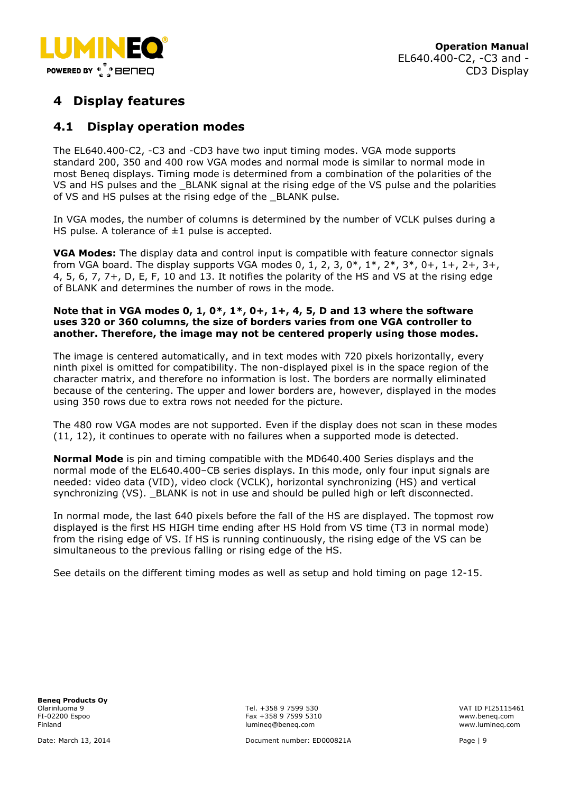

# <span id="page-8-0"></span>**4 Display features**

## <span id="page-8-1"></span>**4.1 Display operation modes**

The EL640.400-C2, -C3 and -CD3 have two input timing modes. VGA mode supports standard 200, 350 and 400 row VGA modes and normal mode is similar to normal mode in most Beneq displays. Timing mode is determined from a combination of the polarities of the VS and HS pulses and the \_BLANK signal at the rising edge of the VS pulse and the polarities of VS and HS pulses at the rising edge of the \_BLANK pulse.

In VGA modes, the number of columns is determined by the number of VCLK pulses during a HS pulse. A tolerance of  $\pm 1$  pulse is accepted.

**VGA Modes:** The display data and control input is compatible with feature connector signals from VGA board. The display supports VGA modes 0, 1, 2, 3,  $0^*$ ,  $1^*$ ,  $2^*$ ,  $3^*$ ,  $0^+$ ,  $1^+$ ,  $2^+$ ,  $3^+$ , 4, 5, 6, 7, 7+, D, E, F, 10 and 13. It notifies the polarity of the HS and VS at the rising edge of BLANK and determines the number of rows in the mode.

#### **Note that in VGA modes 0, 1, 0\*, 1\*, 0+, 1+, 4, 5, D and 13 where the software uses 320 or 360 columns, the size of borders varies from one VGA controller to another. Therefore, the image may not be centered properly using those modes.**

The image is centered automatically, and in text modes with 720 pixels horizontally, every ninth pixel is omitted for compatibility. The non-displayed pixel is in the space region of the character matrix, and therefore no information is lost. The borders are normally eliminated because of the centering. The upper and lower borders are, however, displayed in the modes using 350 rows due to extra rows not needed for the picture.

The 480 row VGA modes are not supported. Even if the display does not scan in these modes (11, 12), it continues to operate with no failures when a supported mode is detected.

**Normal Mode** is pin and timing compatible with the MD640.400 Series displays and the normal mode of the EL640.400–CB series displays. In this mode, only four input signals are needed: video data (VID), video clock (VCLK), horizontal synchronizing (HS) and vertical synchronizing (VS). \_BLANK is not in use and should be pulled high or left disconnected.

In normal mode, the last 640 pixels before the fall of the HS are displayed. The topmost row displayed is the first HS HIGH time ending after HS Hold from VS time (T3 in normal mode) from the rising edge of VS. If HS is running continuously, the rising edge of the VS can be simultaneous to the previous falling or rising edge of the HS.

See details on the different timing modes as well as setup and hold timing on page 12-15.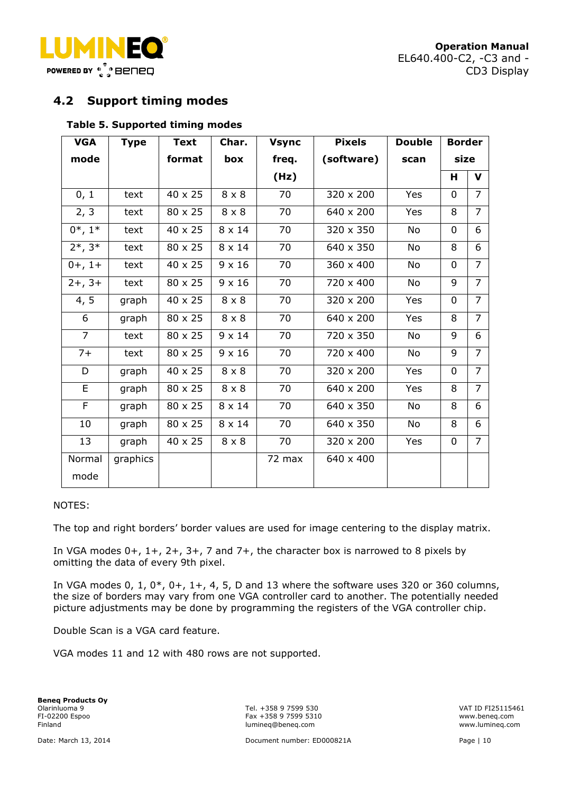

**Operation Manual** EL640.400-C2, -C3 and - CD3 Display

## <span id="page-9-0"></span>**4.2 Support timing modes**

#### **Table 5. Supported timing modes**

| <b>VGA</b>     | Type     | <b>Text</b>    | Char.         | <b>Vsync</b> | <b>Pixels</b> | <b>Double</b> | <b>Border</b> |                |
|----------------|----------|----------------|---------------|--------------|---------------|---------------|---------------|----------------|
| mode           |          | format         | box           | freq.        | (software)    | scan          | size          |                |
|                |          |                |               | (Hz)         |               |               | Н             | $\mathbf v$    |
| 0, 1           | text     | 40 x 25        | $8 \times 8$  | 70           | 320 x 200     | Yes           | 0             | 7              |
| 2, 3           | text     | 80 x 25        | $8 \times 8$  | 70           | 640 x 200     | Yes           | 8             | $\overline{7}$ |
| $0^*, 1^*$     | text     | 40 x 25        | $8 \times 14$ | 70           | 320 x 350     | <b>No</b>     | 0             | 6              |
| $2*, 3*$       | text     | 80 x 25        | $8 \times 14$ | 70           | 640 x 350     | <b>No</b>     | 8             | 6              |
| $0+, 1+$       | text     | 40 x 25        | $9 \times 16$ | 70           | 360 x 400     | No            | $\Omega$      | $\overline{7}$ |
| $2+, 3+$       | text     | 80 x 25        | $9 \times 16$ | 70           | 720 x 400     | No            | 9             | $\overline{7}$ |
| 4, 5           | graph    | $40 \times 25$ | $8 \times 8$  | 70           | 320 x 200     | Yes           | 0             | $\overline{7}$ |
| 6              | graph    | 80 x 25        | $8 \times 8$  | 70           | 640 x 200     | Yes           | 8             | $\overline{7}$ |
| $\overline{7}$ | text     | 80 x 25        | $9 \times 14$ | 70           | 720 x 350     | No            | 9             | 6              |
| $7+$           | text     | 80 x 25        | $9 \times 16$ | 70           | 720 x 400     | No            | 9             | $\overline{7}$ |
| D              | graph    | 40 x 25        | $8 \times 8$  | 70           | 320 x 200     | Yes           | $\mathbf 0$   | $\overline{7}$ |
| E              | graph    | 80 x 25        | $8 \times 8$  | 70           | 640 x 200     | Yes           | 8             | $\overline{7}$ |
| F              | graph    | 80 x 25        | $8 \times 14$ | 70           | 640 x 350     | No            | 8             | 6              |
| 10             | graph    | 80 x 25        | $8 \times 14$ | 70           | 640 x 350     | No            | 8             | 6              |
| 13             | graph    | 40 x 25        | $8 \times 8$  | 70           | 320 x 200     | Yes           | 0             | $\overline{7}$ |
| Normal<br>mode | graphics |                |               | 72 max       | 640 x 400     |               |               |                |

#### NOTES:

The top and right borders' border values are used for image centering to the display matrix.

In VGA modes  $0+, 1+, 2+, 3+, 7$  and  $7+,$  the character box is narrowed to 8 pixels by omitting the data of every 9th pixel.

In VGA modes 0, 1,  $0^*$ ,  $0^+$ ,  $1^+$ , 4, 5, D and 13 where the software uses 320 or 360 columns, the size of borders may vary from one VGA controller card to another. The potentially needed picture adjustments may be done by programming the registers of the VGA controller chip.

Double Scan is a VGA card feature.

VGA modes 11 and 12 with 480 rows are not supported.

**Beneq Products Oy**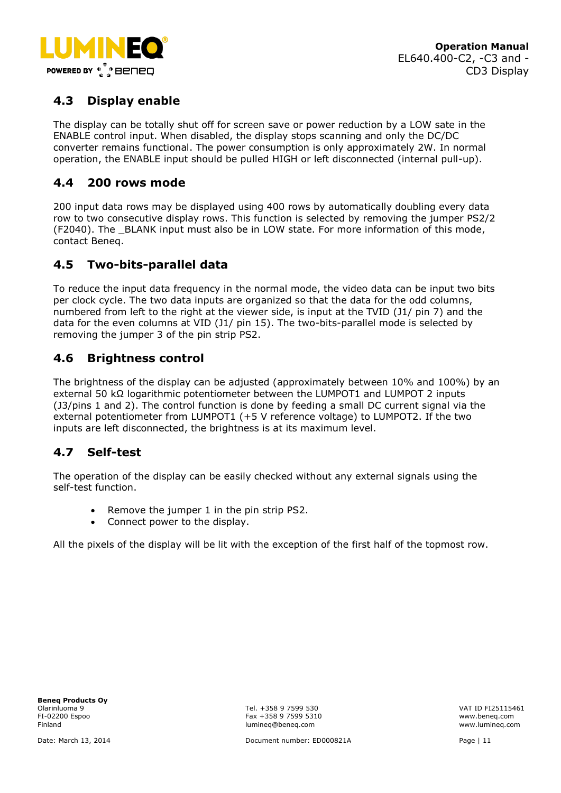

# <span id="page-10-0"></span>**4.3 Display enable**

The display can be totally shut off for screen save or power reduction by a LOW sate in the ENABLE control input. When disabled, the display stops scanning and only the DC/DC converter remains functional. The power consumption is only approximately 2W. In normal operation, the ENABLE input should be pulled HIGH or left disconnected (internal pull-up).

## <span id="page-10-1"></span>**4.4 200 rows mode**

200 input data rows may be displayed using 400 rows by automatically doubling every data row to two consecutive display rows. This function is selected by removing the jumper PS2/2 (F2040). The BLANK input must also be in LOW state. For more information of this mode, contact Beneq.

## <span id="page-10-2"></span>**4.5 Two-bits-parallel data**

To reduce the input data frequency in the normal mode, the video data can be input two bits per clock cycle. The two data inputs are organized so that the data for the odd columns, numbered from left to the right at the viewer side, is input at the TVID (J1/ pin 7) and the data for the even columns at VID (J1/ pin 15). The two-bits-parallel mode is selected by removing the jumper 3 of the pin strip PS2.

## <span id="page-10-3"></span>**4.6 Brightness control**

The brightness of the display can be adjusted (approximately between 10% and 100%) by an external 50 kΩ logarithmic potentiometer between the LUMPOT1 and LUMPOT 2 inputs (J3/pins 1 and 2). The control function is done by feeding a small DC current signal via the external potentiometer from LUMPOT1 (+5 V reference voltage) to LUMPOT2. If the two inputs are left disconnected, the brightness is at its maximum level.

# <span id="page-10-4"></span>**4.7 Self-test**

The operation of the display can be easily checked without any external signals using the self-test function.

- Remove the jumper 1 in the pin strip PS2.
- Connect power to the display.

All the pixels of the display will be lit with the exception of the first half of the topmost row.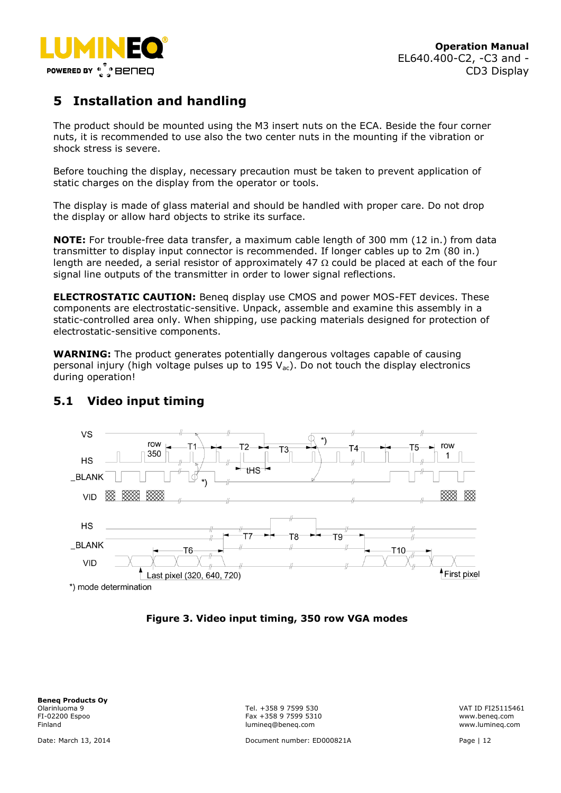

# <span id="page-11-0"></span>**5 Installation and handling**

The product should be mounted using the M3 insert nuts on the ECA. Beside the four corner nuts, it is recommended to use also the two center nuts in the mounting if the vibration or shock stress is severe.

Before touching the display, necessary precaution must be taken to prevent application of static charges on the display from the operator or tools.

The display is made of glass material and should be handled with proper care. Do not drop the display or allow hard objects to strike its surface.

**NOTE:** For trouble-free data transfer, a maximum cable length of 300 mm (12 in.) from data transmitter to display input connector is recommended. If longer cables up to 2m (80 in.) length are needed, a serial resistor of approximately 47  $\Omega$  could be placed at each of the four signal line outputs of the transmitter in order to lower signal reflections.

**ELECTROSTATIC CAUTION:** Beneq display use CMOS and power MOS-FET devices. These components are electrostatic-sensitive. Unpack, assemble and examine this assembly in a static-controlled area only. When shipping, use packing materials designed for protection of electrostatic-sensitive components.

**WARNING:** The product generates potentially dangerous voltages capable of causing personal injury (high voltage pulses up to 195  $V_{ac}$ ). Do not touch the display electronics during operation!



# <span id="page-11-1"></span>**5.1 Video input timing**

**Figure 3. Video input timing, 350 row VGA modes**

**Beneq Products Oy** Olarinluoma 9 Tel. +358 9 7599 530 VAT ID FI25115461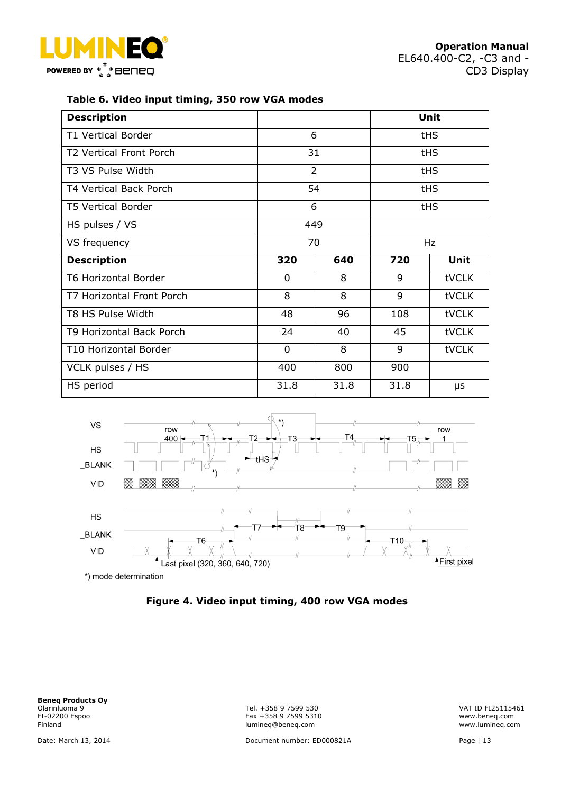



#### **Table 6. Video input timing, 350 row VGA modes**

| <b>Description</b>          |                |      |      | Unit  |
|-----------------------------|----------------|------|------|-------|
| <b>T1 Vertical Border</b>   | 6              |      | tHS  |       |
| T2 Vertical Front Porch     | 31             |      |      | tHS   |
| T3 VS Pulse Width           | $\overline{2}$ |      |      | tHS   |
| T4 Vertical Back Porch      | 54             |      |      | tHS   |
| <b>T5 Vertical Border</b>   | 6              |      |      | tHS   |
| HS pulses / VS              | 449            |      |      |       |
| VS frequency                | 70             |      | Hz   |       |
| <b>Description</b>          | 320            | 640  | 720  | Unit  |
| <b>T6 Horizontal Border</b> | $\Omega$       | 8    | 9    | tVCLK |
| T7 Horizontal Front Porch   | 8              | 8    | 9    | tVCLK |
| T8 HS Pulse Width           | 48             | 96   | 108  | tVCLK |
| T9 Horizontal Back Porch    | 24             | 40   | 45   | tVCLK |
| T10 Horizontal Border       | 0              | 8    | 9    | tVCLK |
| VCLK pulses / HS            | 400            | 800  | 900  |       |
| HS period                   | 31.8           | 31.8 | 31.8 | μs    |





**Beneq Products Oy** Olarinluoma 9 Tel. +358 9 7599 530 VAT ID FI25115461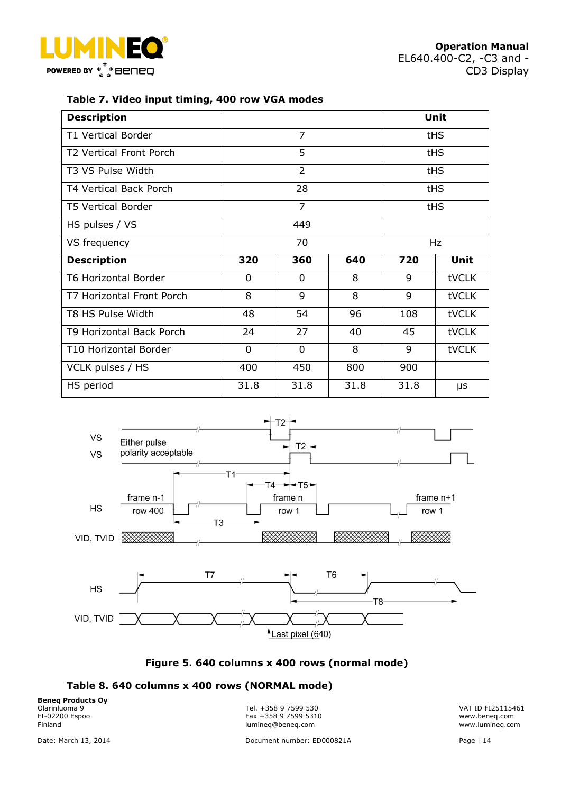



#### **Table 7. Video input timing, 400 row VGA modes**

| <b>Description</b>          |                |                              |      |            | Unit       |
|-----------------------------|----------------|------------------------------|------|------------|------------|
| <b>T1 Vertical Border</b>   | $\overline{7}$ |                              |      | <b>tHS</b> |            |
| T2 Vertical Front Porch     |                | 5                            |      | <b>tHS</b> |            |
| T3 VS Pulse Width           |                | $\overline{2}$<br><b>tHS</b> |      |            |            |
| T4 Vertical Back Porch      |                | 28                           |      |            | <b>tHS</b> |
| <b>T5 Vertical Border</b>   |                | $\overline{7}$               |      |            | <b>tHS</b> |
| HS pulses / VS              |                | 449                          |      |            |            |
| VS frequency                | 70             |                              |      | Hz         |            |
| <b>Description</b>          | 320            | 360                          | 640  | 720        | Unit       |
| <b>T6 Horizontal Border</b> | $\Omega$       | $\Omega$                     | 8    | 9          | tVCLK      |
| T7 Horizontal Front Porch   | 8              | 9                            | 8    | 9          | tVCLK      |
| T8 HS Pulse Width           | 48             | 54                           | 96   | 108        | tVCLK      |
| T9 Horizontal Back Porch    | 24             | 27                           | 40   | 45         | tVCLK      |
| T10 Horizontal Border       | 0              | 0                            | 8    | 9          | tVCLK      |
| VCLK pulses / HS            | 400            | 450                          | 800  | 900        |            |
| HS period                   | 31.8           | 31.8                         | 31.8 | 31.8       | μs         |



## **Figure 5. 640 columns x 400 rows (normal mode)**

#### **Table 8. 640 columns x 400 rows (NORMAL mode)**

**Beneq Products Oy**<br>Olarinluoma 9

Olarinluoma 9 Tel. +358 9 7599 530 VAT ID FI25115461 FI-02200 Espoo Fax +358 9 7599 5310 www.beneq.com lumineq@beneq.com

Date: March 13, 2014 Document number: ED000821A Page | 14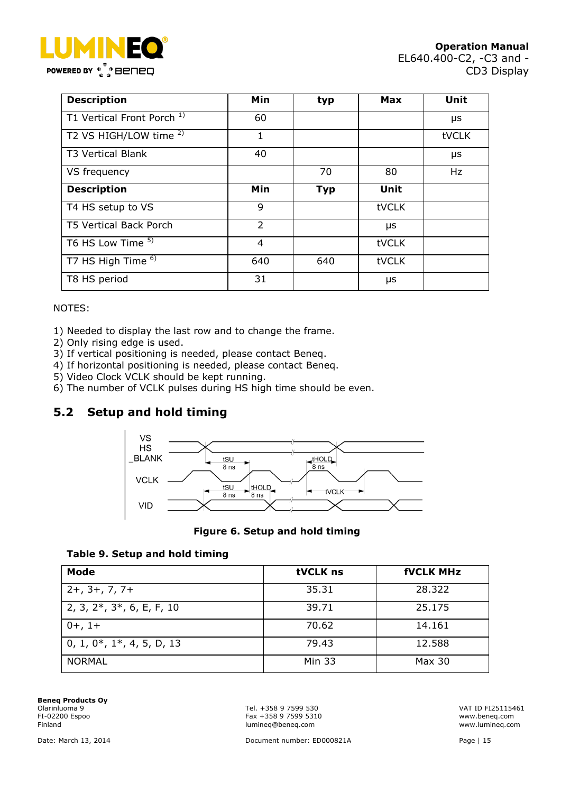

| <b>Description</b>                    | Min            | typ        | <b>Max</b>   | Unit  |
|---------------------------------------|----------------|------------|--------------|-------|
| T1 Vertical Front Porch <sup>1)</sup> | 60             |            |              | μs    |
| T2 VS HIGH/LOW time <sup>2)</sup>     | 1              |            |              | tVCLK |
| <b>T3 Vertical Blank</b>              | 40             |            |              | μs    |
| VS frequency                          |                | 70         | 80           | Hz    |
| <b>Description</b>                    | Min            | <b>Typ</b> | Unit         |       |
| T4 HS setup to VS                     | 9              |            | <b>tVCLK</b> |       |
| <b>T5 Vertical Back Porch</b>         | $\overline{2}$ |            | μs           |       |
| T6 HS Low Time 5)                     | 4              |            | tVCLK        |       |
| T7 HS High Time <sup>6)</sup>         | 640            | 640        | tVCLK        |       |
| T8 HS period                          | 31             |            | μs           |       |

#### NOTES:

1) Needed to display the last row and to change the frame.

- 2) Only rising edge is used.
- 3) If vertical positioning is needed, please contact Beneq.
- 4) If horizontal positioning is needed, please contact Beneq.
- 5) Video Clock VCLK should be kept running.
- 6) The number of VCLK pulses during HS high time should be even.

# <span id="page-14-0"></span>**5.2 Setup and hold timing**



#### **Figure 6. Setup and hold timing**



| Mode                              | tVCLK ns      | <b>fVCLK MHz</b> |
|-----------------------------------|---------------|------------------|
| $2+$ , $3+$ , $7$ , $7+$          | 35.31         | 28,322           |
| 2, 3, $2^*$ , $3^*$ , 6, E, F, 10 | 39.71         | 25.175           |
| $0+, 1+$                          | 70.62         | 14.161           |
| $0, 1, 0^*, 1^*, 4, 5, D, 13$     | 79.43         | 12.588           |
| <b>NORMAL</b>                     | <b>Min 33</b> | Max 30           |

**Beneq Products Oy**<br>Olarinluoma 9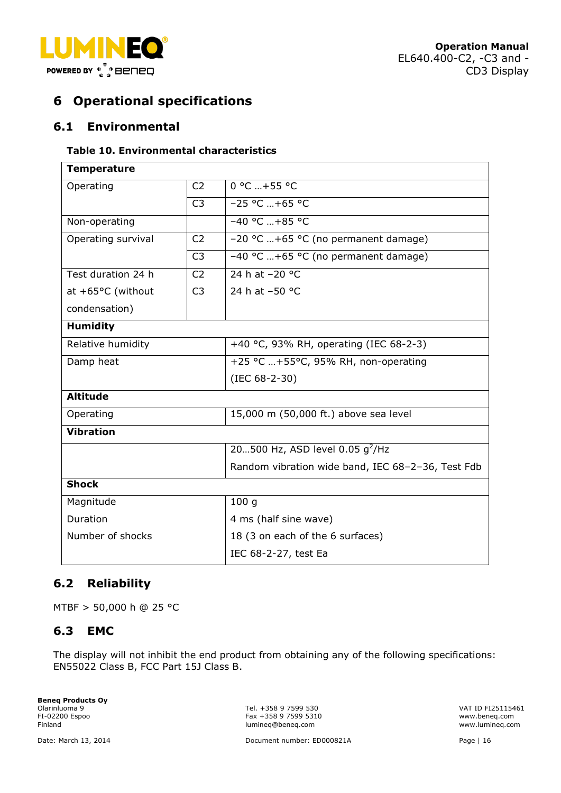



# <span id="page-15-0"></span>**6 Operational specifications**

## <span id="page-15-1"></span>**6.1 Environmental**

#### **Table 10. Environmental characteristics**

| <b>Temperature</b> |                |                                                   |  |  |  |
|--------------------|----------------|---------------------------------------------------|--|--|--|
| Operating          | C <sub>2</sub> | $0 °C  + 55 °C$                                   |  |  |  |
|                    | C <sub>3</sub> | $-25 °C  +65 °C$                                  |  |  |  |
| Non-operating      |                | $-40 °C  +85 °C$                                  |  |  |  |
| Operating survival | C <sub>2</sub> | -20 °C +65 °C (no permanent damage)               |  |  |  |
|                    | C <sub>3</sub> | -40 °C +65 °C (no permanent damage)               |  |  |  |
| Test duration 24 h | C <sub>2</sub> | 24 h at -20 °C                                    |  |  |  |
| at +65°C (without  | C <sub>3</sub> | 24 h at -50 °C                                    |  |  |  |
| condensation)      |                |                                                   |  |  |  |
| <b>Humidity</b>    |                |                                                   |  |  |  |
| Relative humidity  |                | +40 °C, 93% RH, operating (IEC 68-2-3)            |  |  |  |
| Damp heat          |                | +25 °C +55°C, 95% RH, non-operating               |  |  |  |
|                    |                | (IEC 68-2-30)                                     |  |  |  |
| <b>Altitude</b>    |                |                                                   |  |  |  |
| Operating          |                | 15,000 m (50,000 ft.) above sea level             |  |  |  |
| <b>Vibration</b>   |                |                                                   |  |  |  |
|                    |                | 20500 Hz, ASD level 0.05 $g^2$ /Hz                |  |  |  |
|                    |                | Random vibration wide band, IEC 68-2-36, Test Fdb |  |  |  |
| <b>Shock</b>       |                |                                                   |  |  |  |
| Magnitude          |                | 100 <sub>g</sub>                                  |  |  |  |
| Duration           |                | 4 ms (half sine wave)                             |  |  |  |
| Number of shocks   |                | 18 (3 on each of the 6 surfaces)                  |  |  |  |
|                    |                | IEC 68-2-27, test Ea                              |  |  |  |

# <span id="page-15-2"></span>**6.2 Reliability**

MTBF > 50,000 h @ 25 °C

## <span id="page-15-3"></span>**6.3 EMC**

The display will not inhibit the end product from obtaining any of the following specifications: EN55022 Class B, FCC Part 15J Class B.

**Beneq Products Oy**<br>Olarinluoma 9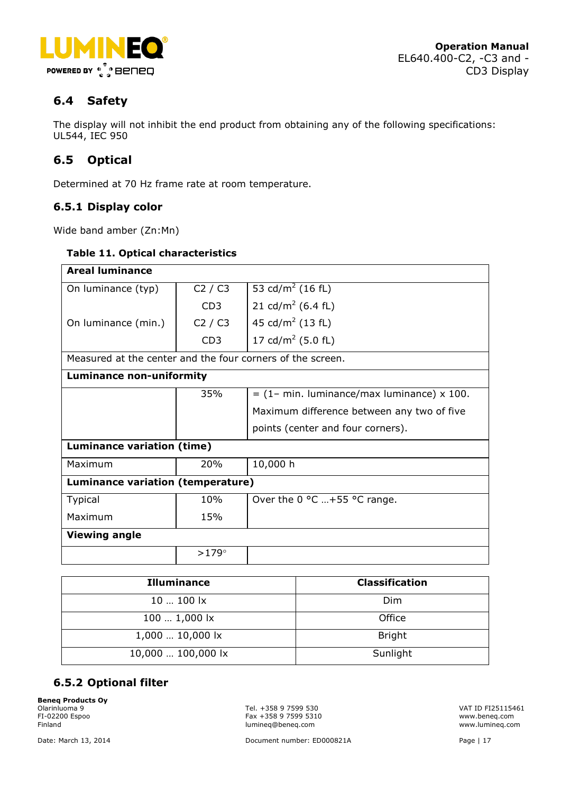

# <span id="page-16-0"></span>**6.4 Safety**

The display will not inhibit the end product from obtaining any of the following specifications: UL544, IEC 950

# <span id="page-16-1"></span>**6.5 Optical**

Determined at 70 Hz frame rate at room temperature.

## <span id="page-16-2"></span>**6.5.1 Display color**

Wide band amber (Zn:Mn)

#### **Table 11. Optical characteristics**

| <b>Areal luminance</b>                                     |                 |                                              |  |  |
|------------------------------------------------------------|-----------------|----------------------------------------------|--|--|
| On luminance (typ)                                         | C2 / C3         | 53 cd/m <sup>2</sup> (16 fL)                 |  |  |
|                                                            | CD3             | 21 cd/m <sup>2</sup> (6.4 fL)                |  |  |
| On luminance (min.)                                        | C2 / C3         | 45 cd/m <sup>2</sup> (13 fL)                 |  |  |
|                                                            | CD <sub>3</sub> | 17 cd/m <sup>2</sup> (5.0 fL)                |  |  |
| Measured at the center and the four corners of the screen. |                 |                                              |  |  |
| <b>Luminance non-uniformity</b>                            |                 |                                              |  |  |
|                                                            | 35%             | $=$ (1– min. luminance/max luminance) x 100. |  |  |
|                                                            |                 | Maximum difference between any two of five   |  |  |
|                                                            |                 | points (center and four corners).            |  |  |
| Luminance variation (time)                                 |                 |                                              |  |  |
| Maximum                                                    | 20%             | 10,000 h                                     |  |  |
| Luminance variation (temperature)                          |                 |                                              |  |  |
| <b>Typical</b>                                             | 10%             | Over the 0 °C +55 °C range.                  |  |  |
| Maximum                                                    | 15%             |                                              |  |  |
| <b>Viewing angle</b>                                       |                 |                                              |  |  |
|                                                            | $>179^\circ$    |                                              |  |  |

| <b>Illuminance</b> | <b>Classification</b> |
|--------------------|-----------------------|
| $10100$ lx         | <b>Dim</b>            |
| 100  1,000 lx      | Office                |
| 1,000  10,000 lx   | <b>Bright</b>         |
| 10,000  100,000 lx | Sunlight              |

## <span id="page-16-3"></span>**6.5.2 Optional filter**

**Beneq Products Oy**<br>Olarinluoma 9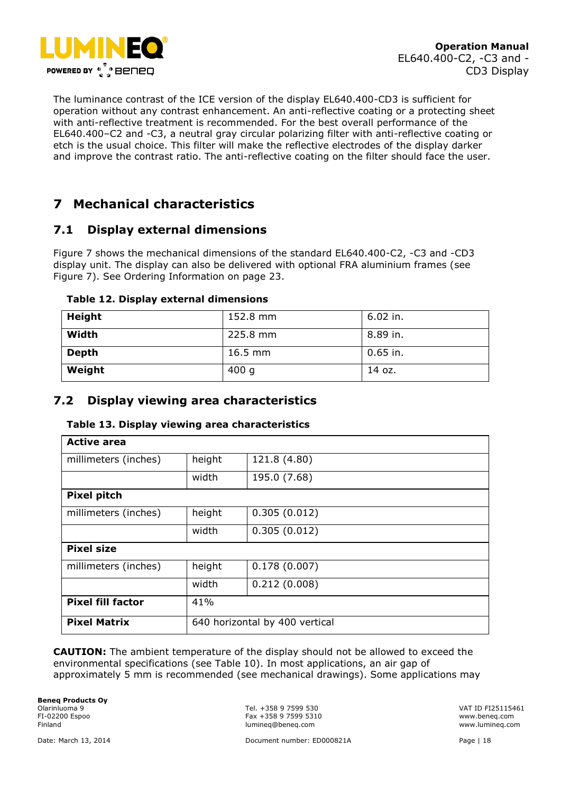

The luminance contrast of the ICE version of the display EL640.400-CD3 is sufficient for operation without any contrast enhancement. An anti-reflective coating or a protecting sheet with anti-reflective treatment is recommended. For the best overall performance of the EL640.400–C2 and -C3, a neutral gray circular polarizing filter with anti-reflective coating or etch is the usual choice. This filter will make the reflective electrodes of the display darker and improve the contrast ratio. The anti-reflective coating on the filter should face the user.

# <span id="page-17-0"></span>**7 Mechanical characteristics**

## <span id="page-17-1"></span>**7.1 Display external dimensions**

Figure 7 shows the mechanical dimensions of the standard EL640.400-C2, -C3 and -CD3 display unit. The display can also be delivered with optional FRA aluminium frames (see Figure 7). See Ordering Information on page 23.

| Height       | 152.8 mm  | $6.02$ in. |
|--------------|-----------|------------|
| Width        | 225.8 mm  | 8.89 in.   |
| <b>Depth</b> | $16.5$ mm | $0.65$ in. |
| Weight       | 400g      | 14 oz.     |

#### **Table 12. Display external dimensions**

## <span id="page-17-2"></span>**7.2 Display viewing area characteristics**

| <b>Active area</b>       |                                |              |
|--------------------------|--------------------------------|--------------|
| millimeters (inches)     | height                         | 121.8 (4.80) |
|                          | width                          | 195.0 (7.68) |
| <b>Pixel pitch</b>       |                                |              |
| millimeters (inches)     | height                         | 0.305(0.012) |
|                          | width                          | 0.305(0.012) |
| <b>Pixel size</b>        |                                |              |
| millimeters (inches)     | height                         | 0.178(0.007) |
|                          | width                          | 0.212(0.008) |
| <b>Pixel fill factor</b> | 41%                            |              |
| <b>Pixel Matrix</b>      | 640 horizontal by 400 vertical |              |

#### **Table 13. Display viewing area characteristics**

**CAUTION:** The ambient temperature of the display should not be allowed to exceed the environmental specifications (see Table 10). In most applications, an air gap of approximately 5 mm is recommended (see mechanical drawings). Some applications may

**Beneq Products Oy** Olarinluoma 9 Tel. +358 9 7599 530 VAT ID FI25115461

FI-02200 Espoo Fax +358 9 7599 5310 www.beneq.com lumineq@beneq.com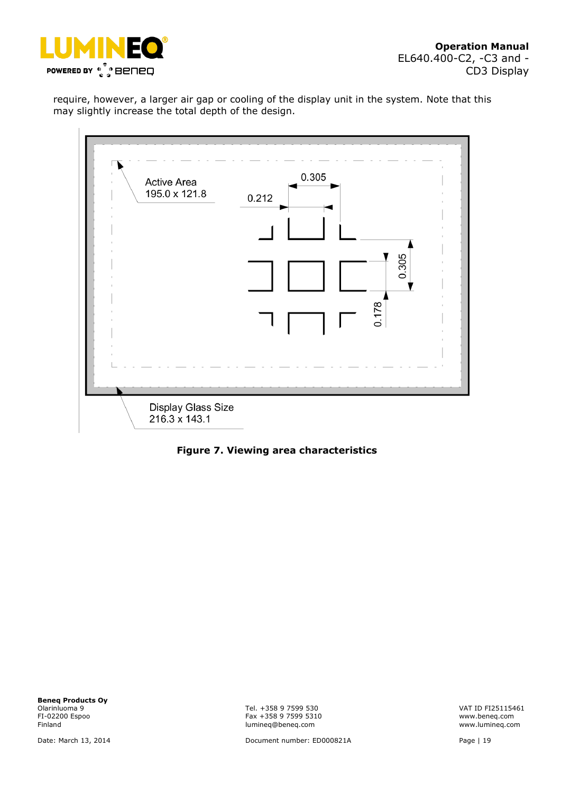

require, however, a larger air gap or cooling of the display unit in the system. Note that this may slightly increase the total depth of the design.



**Figure 7. Viewing area characteristics**

**Beneq Products Oy**<br>Olarinluoma 9 Olarinluoma 9 Tel. +358 9 7599 530 VAT ID FI25115461

FI-02200 Espoo Fax +358 9 7599 5310 www.beneq.com lumineq@beneq.com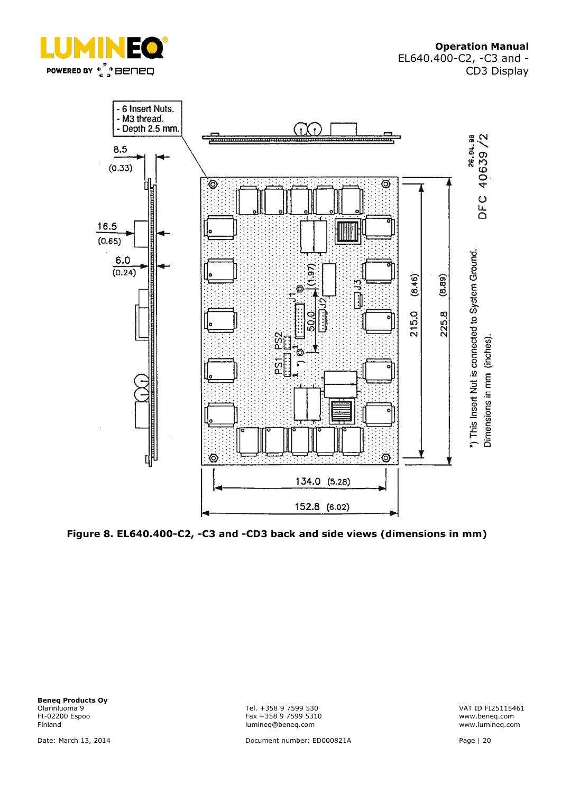

**Operation Manual** EL640.400-C2, -C3 and - CD3 Display



**Figure 8. EL640.400-C2, -C3 and -CD3 back and side views (dimensions in mm)**

**Beneq Products Oy**<br>Olarinluoma 9 Olarinluoma 9 Tel. +358 9 7599 530 VAT ID FI25115461

FI-02200 Espoo Fax +358 9 7599 5310 www.beneq.com lumineq@beneq.com

Date: March 13, 2014 Document number: ED000821A Page | 20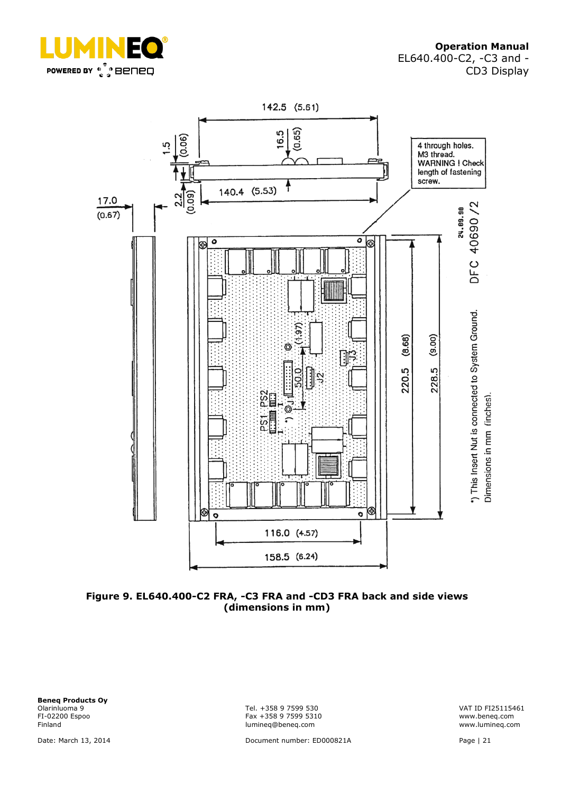



**Figure 9. EL640.400-C2 FRA, -C3 FRA and -CD3 FRA back and side views (dimensions in mm)**

**Beneq Products Oy**<br>Olarinluoma 9 Olarinluoma 9 Tel. +358 9 7599 530 VAT ID FI25115461

FI-02200 Espoo Fax +358 9 7599 5310 www.beneq.com lumineq@beneq.com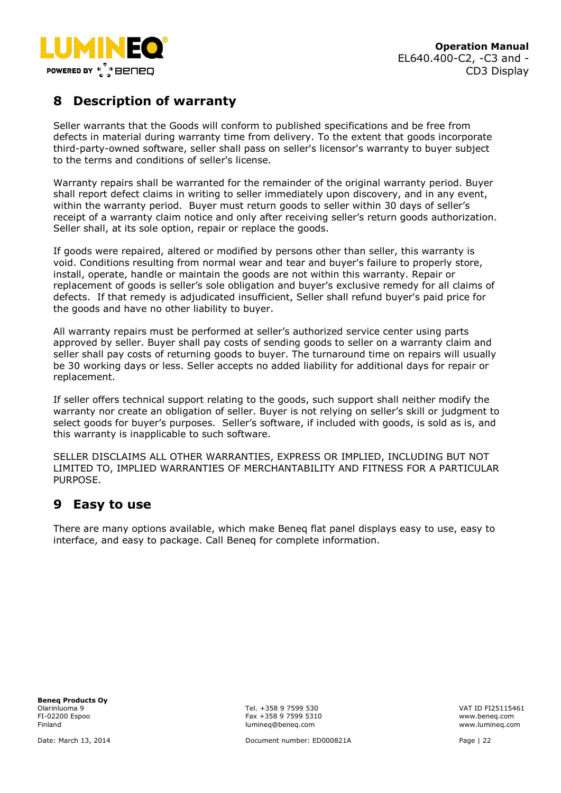

# <span id="page-21-0"></span>**8 Description of warranty**

Seller warrants that the Goods will conform to published specifications and be free from defects in material during warranty time from delivery. To the extent that goods incorporate third-party-owned software, seller shall pass on seller's licensor's warranty to buyer subject to the terms and conditions of seller's license.

Warranty repairs shall be warranted for the remainder of the original warranty period. Buyer shall report defect claims in writing to seller immediately upon discovery, and in any event, within the warranty period. Buyer must return goods to seller within 30 days of seller's receipt of a warranty claim notice and only after receiving seller's return goods authorization. Seller shall, at its sole option, repair or replace the goods.

If goods were repaired, altered or modified by persons other than seller, this warranty is void. Conditions resulting from normal wear and tear and buyer's failure to properly store, install, operate, handle or maintain the goods are not within this warranty. Repair or replacement of goods is seller's sole obligation and buyer's exclusive remedy for all claims of defects. If that remedy is adjudicated insufficient, Seller shall refund buyer's paid price for the goods and have no other liability to buyer.

All warranty repairs must be performed at seller's authorized service center using parts approved by seller. Buyer shall pay costs of sending goods to seller on a warranty claim and seller shall pay costs of returning goods to buyer. The turnaround time on repairs will usually be 30 working days or less. Seller accepts no added liability for additional days for repair or replacement.

If seller offers technical support relating to the goods, such support shall neither modify the warranty nor create an obligation of seller. Buyer is not relying on seller's skill or judgment to select goods for buyer's purposes. Seller's software, if included with goods, is sold as is, and this warranty is inapplicable to such software.

SELLER DISCLAIMS ALL OTHER WARRANTIES, EXPRESS OR IMPLIED, INCLUDING BUT NOT LIMITED TO, IMPLIED WARRANTIES OF MERCHANTABILITY AND FITNESS FOR A PARTICULAR PURPOSE.

# <span id="page-21-1"></span>**9 Easy to use**

There are many options available, which make Beneq flat panel displays easy to use, easy to interface, and easy to package. Call Beneq for complete information.

**Beneq Products Oy**

Olarinluoma 9 Tel. +358 9 7599 530 VAT ID FI25115461 FI-02200 Espoo Fax +358 9 7599 5310 www.beneq.com lumineq@beneq.com

Date: March 13, 2014 Document number: ED000821A Page | 22